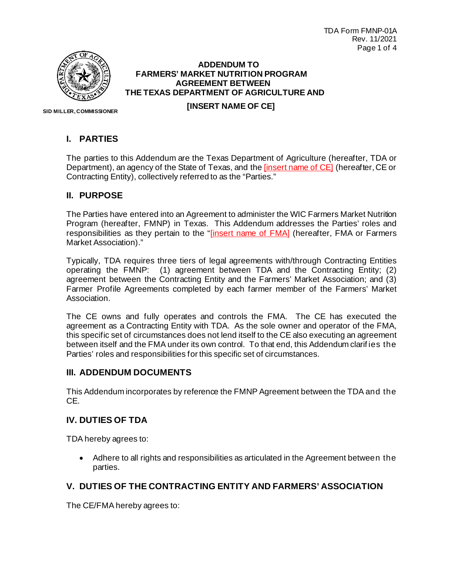TDA Form FMNP-01A Rev. 11/2021 Page 1 of 4



### **ADDENDUM TO FARMERS' MARKET NUTRITION PROGRAM AGREEMENT BETWEEN THE TEXAS DEPARTMENT OF AGRICULTURE AND [INSERT NAME OF CE]**

 **SID MILLER, COMMISSIONER**

#### **I. PARTIES**

The parties to this Addendum are the Texas Department of Agriculture (hereafter, TDA or Department), an agency of the State of Texas, and the [insert name of CE] (hereafter, CE or Contracting Entity), collectively referred to as the "Parties."

#### **II. PURPOSE**

The Parties have entered into an Agreement to administer the WIC Farmers Market Nutrition Program (hereafter, FMNP) in Texas. This Addendum addresses the Parties' roles and responsibilities as they pertain to the "*[insert name of FMA*] (hereafter, FMA or Farmers Market Association)."

Typically, TDA requires three tiers of legal agreements with/through Contracting Entities operating the FMNP: (1) agreement between TDA and the Contracting Entity; (2) agreement between the Contracting Entity and the Farmers' Market Association; and (3) Farmer Profile Agreements completed by each farmer member of the Farmers' Market Association.

The CE owns and fully operates and controls the FMA. The CE has executed the agreement as a Contracting Entity with TDA. As the sole owner and operator of the FMA, this specific set of circumstances does not lend itself to the CE also executing an agreement between itself and the FMA under its own control. To that end, this Addendum clarif ies the Parties' roles and responsibilities for this specific set of circumstances.

#### **III. ADDENDUM DOCUMENTS**

This Addendum incorporates by reference the FMNP Agreement between the TDA and the CE.

#### **IV. DUTIES OF TDA**

TDA hereby agrees to:

• Adhere to all rights and responsibilities as articulated in the Agreement between the parties.

### **V. DUTIES OF THE CONTRACTING ENTITY AND FARMERS' ASSOCIATION**

The CE/FMA hereby agrees to: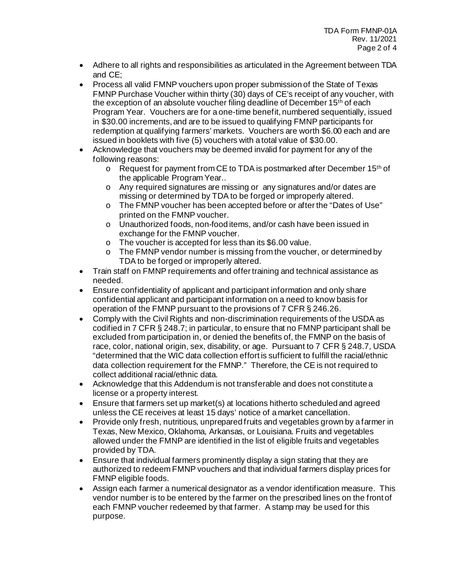- Adhere to all rights and responsibilities as articulated in the Agreement between TDA and CE;
- Process all valid FMNP vouchers upon proper submission of the State of Texas FMNP Purchase Voucher within thirty (30) days of CE's receipt of any voucher, with the exception of an absolute voucher filing deadline of December 15<sup>th</sup> of each Program Year. Vouchers are for a one-time benefit, numbered sequentially, issued in \$30.00 increments, and are to be issued to qualifying FMNP participants for redemption at qualifying farmers' markets. Vouchers are worth \$6.00 each and are issued in booklets with five (5) vouchers with a total value of \$30.00.
- Acknowledge that vouchers may be deemed invalid for payment for any of the following reasons:
	- $\circ$  Request for payment from CE to TDA is postmarked after December 15<sup>th</sup> of the applicable Program Year..
	- o Any required signatures are missing or any signatures and/or dates are missing or determined by TDA to be forged or improperly altered.
	- o The FMNP voucher has been accepted before or after the "Dates of Use" printed on the FMNP voucher.
	- o Unauthorized foods, non-food items, and/or cash have been issued in exchange for the FMNP voucher.
	- o The voucher is accepted for less than its \$6.00 value.
	- $\circ$  The FMNP vendor number is missing from the voucher, or determined by TDA to be forged or improperly altered.
- Train staff on FMNP requirements and offer training and technical assistance as needed.
- Ensure confidentiality of applicant and participant information and only share confidential applicant and participant information on a need to know basis for operation of the FMNP pursuant to the provisions of 7 CFR § 246.26.
- Comply with the Civil Rights and non-discrimination requirements of the USDA as codified in 7 CFR § 248.7; in particular, to ensure that no FMNP participant shall be excluded from participation in, or denied the benefits of, the FMNP on the basis of race, color, national origin, sex, disability, or age. Pursuant to 7 CFR § 248.7, USDA "determined that the WIC data collection effort is sufficient to fulfill the racial/ethnic data collection requirement for the FMNP." Therefore, the CE is not required to collect additional racial/ethnic data.
- Acknowledge that this Addendum is not transferable and does not constitute a license or a property interest.
- Ensure that farmers set up market(s) at locations hitherto scheduled and agreed unless the CE receives at least 15 days' notice of a market cancellation.
- Provide only fresh, nutritious, unprepared fruits and vegetables grown by a farmer in Texas, New Mexico, Oklahoma, Arkansas, or Louisiana. Fruits and vegetables allowed under the FMNP are identified in the list of eligible fruits and vegetables provided by TDA.
- Ensure that individual farmers prominently display a sign stating that they are authorized to redeem FMNP vouchers and that individual farmers display prices for FMNP eligible foods.
- Assign each farmer a numerical designator as a vendor identification measure. This vendor number is to be entered by the farmer on the prescribed lines on the front of each FMNP voucher redeemed by that farmer. A stamp may be used for this purpose.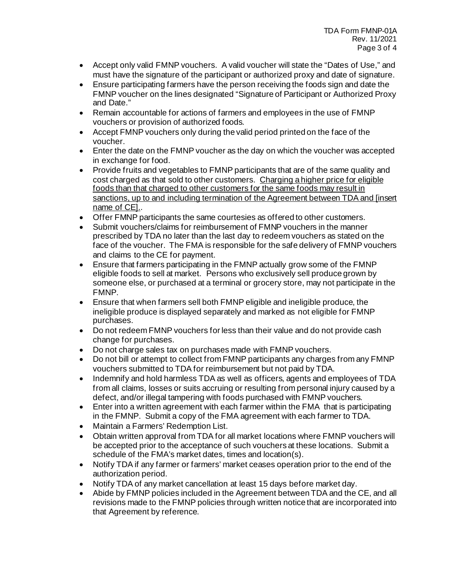- Accept only valid FMNP vouchers. A valid voucher will state the "Dates of Use," and must have the signature of the participant or authorized proxy and date of signature.
- Ensure participating farmers have the person receiving the foods sign and date the FMNP voucher on the lines designated "Signature of Participant or Authorized Proxy and Date."
- Remain accountable for actions of farmers and employees in the use of FMNP vouchers or provision of authorized foods.
- Accept FMNP vouchers only during the valid period printed on the face of the voucher.
- Enter the date on the FMNP voucher as the day on which the voucher was accepted in exchange for food.
- Provide fruits and vegetables to FMNP participants that are of the same quality and cost charged as that sold to other customers. Charging a higher price for eligible foods than that charged to other customers for the same foods may result in sanctions, up to and including termination of the Agreement between TDA and [insert name of CE]..
- Offer FMNP participants the same courtesies as offered to other customers.
- Submit vouchers/claims for reimbursement of FMNP vouchers in the manner prescribed by TDA no later than the last day to redeem vouchers as stated on the face of the voucher. The FMA is responsible for the safe delivery of FMNP vouchers and claims to the CE for payment.
- Ensure that farmers participating in the FMNP actually grow some of the FMNP eligible foods to sell at market. Persons who exclusively sell produce grown by someone else, or purchased at a terminal or grocery store, may not participate in the FMNP.
- Ensure that when farmers sell both FMNP eligible and ineligible produce, the ineligible produce is displayed separately and marked as not eligible for FMNP purchases.
- Do not redeem FMNP vouchers for less than their value and do not provide cash change for purchases.
- Do not charge sales tax on purchases made with FMNP vouchers.
- Do not bill or attempt to collect from FMNP participants any charges from any FMNP vouchers submitted to TDA for reimbursement but not paid by TDA.
- Indemnify and hold harmless TDA as well as officers, agents and employees of TDA from all claims, losses or suits accruing or resulting from personal injury caused by a defect, and/or illegal tampering with foods purchased with FMNP vouchers.
- Enter into a written agreement with each farmer within the FMA that is participating in the FMNP. Submit a copy of the FMA agreement with each farmer to TDA.
- Maintain a Farmers' Redemption List.
- Obtain written approval from TDA for all market locations where FMNP vouchers will be accepted prior to the acceptance of such vouchers at these locations. Submit a schedule of the FMA's market dates, times and location(s).
- Notify TDA if any farmer or farmers' market ceases operation prior to the end of the authorization period.
- Notify TDA of any market cancellation at least 15 days before market day.
- Abide by FMNP policies included in the Agreement between TDA and the CE, and all revisions made to the FMNP policies through written notice that are incorporated into that Agreement by reference.